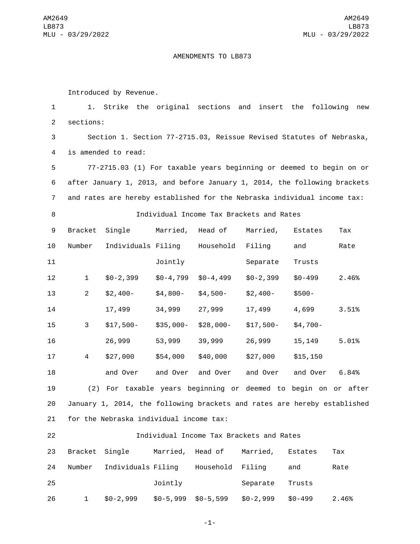## AMENDMENTS TO LB873

Introduced by Revenue.

 1. Strike the original sections and insert the following new 2 sections: Section 1. Section 77-2715.03, Reissue Revised Statutes of Nebraska, 4 is amended to read: 77-2715.03 (1) For taxable years beginning or deemed to begin on or after January 1, 2013, and before January 1, 2014, the following brackets and rates are hereby established for the Nebraska individual income tax: Individual Income Tax Brackets and Rates 9 Bracket Single Married, Head of Married, Estates Tax 10 Number Individuals Filing Household Filing and Rate 11 Jointly Separate Trusts \$0-2,399 \$0-4,799 \$0-4,499 \$0-2,399 \$0-499 2.46% \$2,400- \$4,800- \$4,500- \$2,400- \$500- 17,499 34,999 27,999 17,499 4,699 3.51% \$17,500- \$35,000- \$28,000- \$17,500- \$4,700- 26,999 53,999 39,999 26,999 15,149 5.01% \$27,000 \$54,000 \$40,000 \$27,000 \$15,150 and Over and Over and Over and Over and Over 6.84% (2) For taxable years beginning or deemed to begin on or after January 1, 2014, the following brackets and rates are hereby established 21 for the Nebraska individual income tax:

| 22 |                |                    |            |                  | Individual Income Tax Brackets and Rates |            |       |
|----|----------------|--------------------|------------|------------------|------------------------------------------|------------|-------|
| 23 | Bracket Single |                    |            | Married, Head of | Married,                                 | Estates    | Тах   |
| 24 | Number         | Individuals Filing |            | Household Filing |                                          | and        | Rate  |
| 25 |                |                    | Jointly    |                  | Separate                                 | Trusts     |       |
| 26 | 1              | $$0-2,999$         | $$0-5,999$ | $$0-5,599$       | $$0-2,999$                               | $$0 - 499$ | 2.46% |

-1-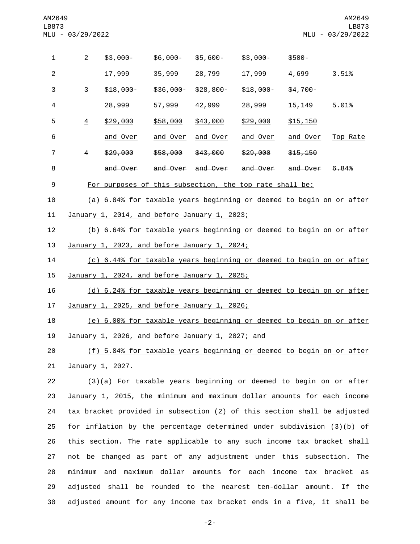| $\mathbf{1}$     | $\overline{2}$ | $$3,000-$                                                            | \$6,000-        | $$5,600-$         | $$3,000-$           | $$500 -$        |          |
|------------------|----------------|----------------------------------------------------------------------|-----------------|-------------------|---------------------|-----------------|----------|
| 2                |                | 17,999                                                               | 35,999          | 28,799            | 17,999              | 4,699           | 3.51%    |
| 3                | 3              | $$18,000-$                                                           | \$36,000-       | \$28,800-         | $$18,000-$          | $$4,700-$       |          |
| 4                |                | 28,999                                                               | 57,999          | 42,999            | 28,999              | 15,149          | 5.01%    |
| 5                | $\overline{4}$ | \$29,000                                                             | \$58,000        | \$43,000          | \$29,000            | \$15,150        |          |
| 6                |                | and Over                                                             | <u>and Over</u> | <u>and Over</u>   | <u>and Over</u>     | <u>and Over</u> | Top Rate |
| $\overline{7}$   | 4              | \$29,000                                                             | \$58,000        | \$43,000          | \$29,000            | \$15,150        |          |
| 8                |                | and Over                                                             |                 | and Over and Over | <del>and Over</del> | and Over        | 6.84%    |
| $\boldsymbol{9}$ |                | For purposes of this subsection, the top rate shall be:              |                 |                   |                     |                 |          |
| 10               |                | (a) 6.84% for taxable years beginning or deemed to begin on or after |                 |                   |                     |                 |          |
| 11               |                | January 1, 2014, and before January 1, 2023;                         |                 |                   |                     |                 |          |
| 12               |                | (b) 6.64% for taxable years beginning or deemed to begin on or after |                 |                   |                     |                 |          |
| 13               |                | January 1, 2023, and before January 1, 2024;                         |                 |                   |                     |                 |          |
| 14               |                | (c) 6.44% for taxable years beginning or deemed to begin on or after |                 |                   |                     |                 |          |
| 15               |                | January 1, 2024, and before January 1, 2025;                         |                 |                   |                     |                 |          |
| 16               |                | (d) 6.24% for taxable years beginning or deemed to begin on or after |                 |                   |                     |                 |          |
| 17               |                | January 1, 2025, and before January 1, 2026;                         |                 |                   |                     |                 |          |
| 18               |                | (e) 6.00% for taxable years beginning or deemed to begin on or after |                 |                   |                     |                 |          |
| 19               |                | January 1, 2026, and before January 1, 2027; and                     |                 |                   |                     |                 |          |
| 20               |                | (f) 5.84% for taxable years beginning or deemed to begin on or after |                 |                   |                     |                 |          |

21 January 1, 2027.

 (3)(a) For taxable years beginning or deemed to begin on or after January 1, 2015, the minimum and maximum dollar amounts for each income tax bracket provided in subsection (2) of this section shall be adjusted for inflation by the percentage determined under subdivision (3)(b) of this section. The rate applicable to any such income tax bracket shall not be changed as part of any adjustment under this subsection. The minimum and maximum dollar amounts for each income tax bracket as adjusted shall be rounded to the nearest ten-dollar amount. If the adjusted amount for any income tax bracket ends in a five, it shall be

-2-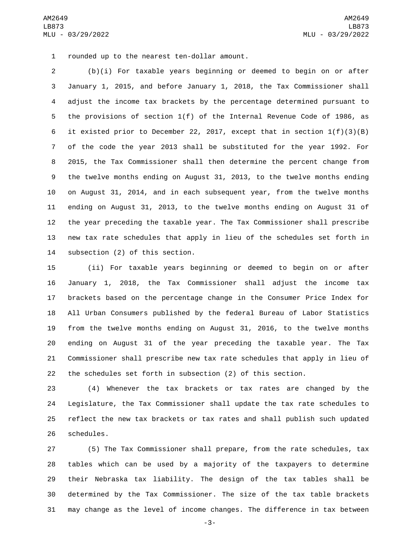1 rounded up to the nearest ten-dollar amount.

 (b)(i) For taxable years beginning or deemed to begin on or after January 1, 2015, and before January 1, 2018, the Tax Commissioner shall adjust the income tax brackets by the percentage determined pursuant to the provisions of section 1(f) of the Internal Revenue Code of 1986, as it existed prior to December 22, 2017, except that in section 1(f)(3)(B) of the code the year 2013 shall be substituted for the year 1992. For 2015, the Tax Commissioner shall then determine the percent change from the twelve months ending on August 31, 2013, to the twelve months ending on August 31, 2014, and in each subsequent year, from the twelve months ending on August 31, 2013, to the twelve months ending on August 31 of the year preceding the taxable year. The Tax Commissioner shall prescribe new tax rate schedules that apply in lieu of the schedules set forth in 14 subsection (2) of this section.

 (ii) For taxable years beginning or deemed to begin on or after January 1, 2018, the Tax Commissioner shall adjust the income tax brackets based on the percentage change in the Consumer Price Index for All Urban Consumers published by the federal Bureau of Labor Statistics from the twelve months ending on August 31, 2016, to the twelve months ending on August 31 of the year preceding the taxable year. The Tax Commissioner shall prescribe new tax rate schedules that apply in lieu of the schedules set forth in subsection (2) of this section.

 (4) Whenever the tax brackets or tax rates are changed by the Legislature, the Tax Commissioner shall update the tax rate schedules to reflect the new tax brackets or tax rates and shall publish such updated 26 schedules.

 (5) The Tax Commissioner shall prepare, from the rate schedules, tax tables which can be used by a majority of the taxpayers to determine their Nebraska tax liability. The design of the tax tables shall be determined by the Tax Commissioner. The size of the tax table brackets may change as the level of income changes. The difference in tax between

-3-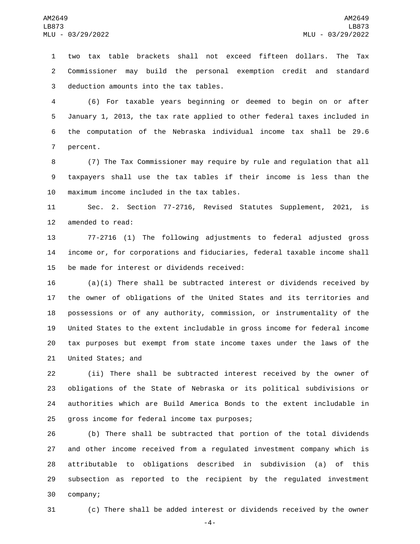two tax table brackets shall not exceed fifteen dollars. The Tax Commissioner may build the personal exemption credit and standard 3 deduction amounts into the tax tables.

 (6) For taxable years beginning or deemed to begin on or after January 1, 2013, the tax rate applied to other federal taxes included in the computation of the Nebraska individual income tax shall be 29.6 7 percent.

 (7) The Tax Commissioner may require by rule and regulation that all taxpayers shall use the tax tables if their income is less than the 10 maximum income included in the tax tables.

 Sec. 2. Section 77-2716, Revised Statutes Supplement, 2021, is 12 amended to read:

 77-2716 (1) The following adjustments to federal adjusted gross income or, for corporations and fiduciaries, federal taxable income shall 15 be made for interest or dividends received:

 (a)(i) There shall be subtracted interest or dividends received by the owner of obligations of the United States and its territories and possessions or of any authority, commission, or instrumentality of the United States to the extent includable in gross income for federal income tax purposes but exempt from state income taxes under the laws of the 21 United States; and

 (ii) There shall be subtracted interest received by the owner of obligations of the State of Nebraska or its political subdivisions or authorities which are Build America Bonds to the extent includable in 25 gross income for federal income tax purposes;

 (b) There shall be subtracted that portion of the total dividends and other income received from a regulated investment company which is attributable to obligations described in subdivision (a) of this subsection as reported to the recipient by the regulated investment 30 company;

(c) There shall be added interest or dividends received by the owner

-4-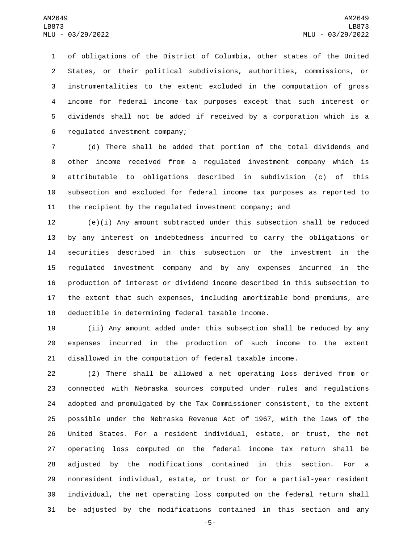of obligations of the District of Columbia, other states of the United States, or their political subdivisions, authorities, commissions, or instrumentalities to the extent excluded in the computation of gross income for federal income tax purposes except that such interest or dividends shall not be added if received by a corporation which is a 6 regulated investment company;

 (d) There shall be added that portion of the total dividends and other income received from a regulated investment company which is attributable to obligations described in subdivision (c) of this subsection and excluded for federal income tax purposes as reported to the recipient by the regulated investment company; and

 (e)(i) Any amount subtracted under this subsection shall be reduced by any interest on indebtedness incurred to carry the obligations or securities described in this subsection or the investment in the regulated investment company and by any expenses incurred in the production of interest or dividend income described in this subsection to the extent that such expenses, including amortizable bond premiums, are 18 deductible in determining federal taxable income.

 (ii) Any amount added under this subsection shall be reduced by any expenses incurred in the production of such income to the extent disallowed in the computation of federal taxable income.

 (2) There shall be allowed a net operating loss derived from or connected with Nebraska sources computed under rules and regulations adopted and promulgated by the Tax Commissioner consistent, to the extent possible under the Nebraska Revenue Act of 1967, with the laws of the United States. For a resident individual, estate, or trust, the net operating loss computed on the federal income tax return shall be adjusted by the modifications contained in this section. For a nonresident individual, estate, or trust or for a partial-year resident individual, the net operating loss computed on the federal return shall be adjusted by the modifications contained in this section and any

-5-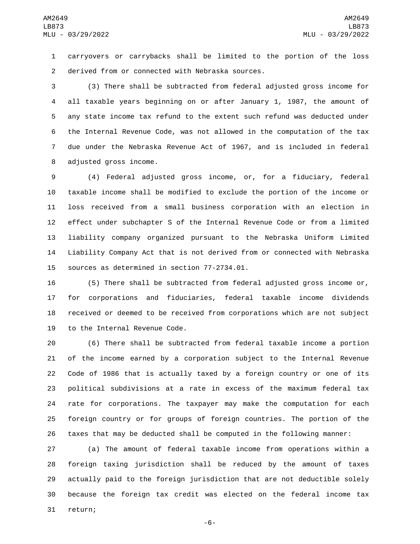carryovers or carrybacks shall be limited to the portion of the loss 2 derived from or connected with Nebraska sources.

 (3) There shall be subtracted from federal adjusted gross income for all taxable years beginning on or after January 1, 1987, the amount of any state income tax refund to the extent such refund was deducted under the Internal Revenue Code, was not allowed in the computation of the tax due under the Nebraska Revenue Act of 1967, and is included in federal 8 adjusted gross income.

 (4) Federal adjusted gross income, or, for a fiduciary, federal taxable income shall be modified to exclude the portion of the income or loss received from a small business corporation with an election in effect under subchapter S of the Internal Revenue Code or from a limited liability company organized pursuant to the Nebraska Uniform Limited Liability Company Act that is not derived from or connected with Nebraska 15 sources as determined in section 77-2734.01.

 (5) There shall be subtracted from federal adjusted gross income or, for corporations and fiduciaries, federal taxable income dividends received or deemed to be received from corporations which are not subject 19 to the Internal Revenue Code.

 (6) There shall be subtracted from federal taxable income a portion of the income earned by a corporation subject to the Internal Revenue Code of 1986 that is actually taxed by a foreign country or one of its political subdivisions at a rate in excess of the maximum federal tax rate for corporations. The taxpayer may make the computation for each foreign country or for groups of foreign countries. The portion of the taxes that may be deducted shall be computed in the following manner:

 (a) The amount of federal taxable income from operations within a foreign taxing jurisdiction shall be reduced by the amount of taxes actually paid to the foreign jurisdiction that are not deductible solely because the foreign tax credit was elected on the federal income tax 31 return;

-6-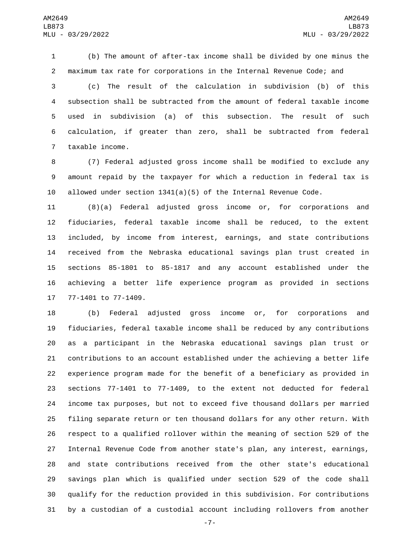(b) The amount of after-tax income shall be divided by one minus the maximum tax rate for corporations in the Internal Revenue Code; and

 (c) The result of the calculation in subdivision (b) of this subsection shall be subtracted from the amount of federal taxable income used in subdivision (a) of this subsection. The result of such calculation, if greater than zero, shall be subtracted from federal 7 taxable income.

 (7) Federal adjusted gross income shall be modified to exclude any amount repaid by the taxpayer for which a reduction in federal tax is 10 allowed under section  $1341(a)(5)$  of the Internal Revenue Code.

 (8)(a) Federal adjusted gross income or, for corporations and fiduciaries, federal taxable income shall be reduced, to the extent included, by income from interest, earnings, and state contributions received from the Nebraska educational savings plan trust created in sections 85-1801 to 85-1817 and any account established under the achieving a better life experience program as provided in sections 17 77-1401 to 77-1409.

 (b) Federal adjusted gross income or, for corporations and fiduciaries, federal taxable income shall be reduced by any contributions as a participant in the Nebraska educational savings plan trust or contributions to an account established under the achieving a better life experience program made for the benefit of a beneficiary as provided in sections 77-1401 to 77-1409, to the extent not deducted for federal income tax purposes, but not to exceed five thousand dollars per married filing separate return or ten thousand dollars for any other return. With respect to a qualified rollover within the meaning of section 529 of the Internal Revenue Code from another state's plan, any interest, earnings, and state contributions received from the other state's educational savings plan which is qualified under section 529 of the code shall qualify for the reduction provided in this subdivision. For contributions by a custodian of a custodial account including rollovers from another

-7-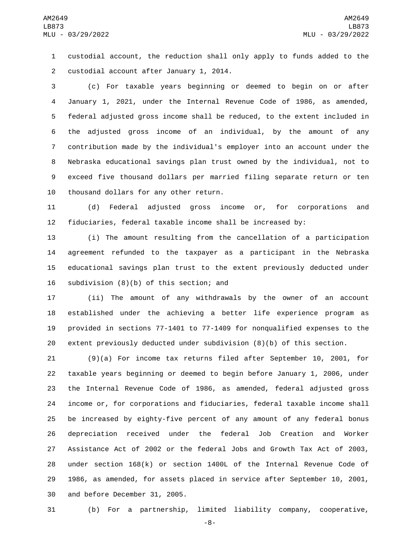custodial account, the reduction shall only apply to funds added to the 2 custodial account after January 1, 2014.

 (c) For taxable years beginning or deemed to begin on or after January 1, 2021, under the Internal Revenue Code of 1986, as amended, federal adjusted gross income shall be reduced, to the extent included in the adjusted gross income of an individual, by the amount of any contribution made by the individual's employer into an account under the Nebraska educational savings plan trust owned by the individual, not to exceed five thousand dollars per married filing separate return or ten 10 thousand dollars for any other return.

 (d) Federal adjusted gross income or, for corporations and fiduciaries, federal taxable income shall be increased by:

 (i) The amount resulting from the cancellation of a participation agreement refunded to the taxpayer as a participant in the Nebraska educational savings plan trust to the extent previously deducted under 16 subdivision  $(8)(b)$  of this section; and

 (ii) The amount of any withdrawals by the owner of an account established under the achieving a better life experience program as provided in sections 77-1401 to 77-1409 for nonqualified expenses to the extent previously deducted under subdivision (8)(b) of this section.

 (9)(a) For income tax returns filed after September 10, 2001, for taxable years beginning or deemed to begin before January 1, 2006, under the Internal Revenue Code of 1986, as amended, federal adjusted gross income or, for corporations and fiduciaries, federal taxable income shall be increased by eighty-five percent of any amount of any federal bonus depreciation received under the federal Job Creation and Worker Assistance Act of 2002 or the federal Jobs and Growth Tax Act of 2003, under section 168(k) or section 1400L of the Internal Revenue Code of 1986, as amended, for assets placed in service after September 10, 2001, 30 and before December 31, 2005.

(b) For a partnership, limited liability company, cooperative,

-8-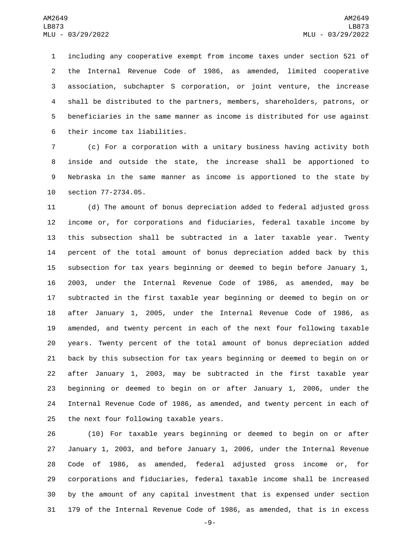including any cooperative exempt from income taxes under section 521 of the Internal Revenue Code of 1986, as amended, limited cooperative association, subchapter S corporation, or joint venture, the increase shall be distributed to the partners, members, shareholders, patrons, or beneficiaries in the same manner as income is distributed for use against 6 their income tax liabilities.

 (c) For a corporation with a unitary business having activity both inside and outside the state, the increase shall be apportioned to Nebraska in the same manner as income is apportioned to the state by 10 section 77-2734.05.

 (d) The amount of bonus depreciation added to federal adjusted gross income or, for corporations and fiduciaries, federal taxable income by this subsection shall be subtracted in a later taxable year. Twenty percent of the total amount of bonus depreciation added back by this subsection for tax years beginning or deemed to begin before January 1, 2003, under the Internal Revenue Code of 1986, as amended, may be subtracted in the first taxable year beginning or deemed to begin on or after January 1, 2005, under the Internal Revenue Code of 1986, as amended, and twenty percent in each of the next four following taxable years. Twenty percent of the total amount of bonus depreciation added back by this subsection for tax years beginning or deemed to begin on or after January 1, 2003, may be subtracted in the first taxable year beginning or deemed to begin on or after January 1, 2006, under the Internal Revenue Code of 1986, as amended, and twenty percent in each of 25 the next four following taxable years.

 (10) For taxable years beginning or deemed to begin on or after January 1, 2003, and before January 1, 2006, under the Internal Revenue Code of 1986, as amended, federal adjusted gross income or, for corporations and fiduciaries, federal taxable income shall be increased by the amount of any capital investment that is expensed under section 179 of the Internal Revenue Code of 1986, as amended, that is in excess

-9-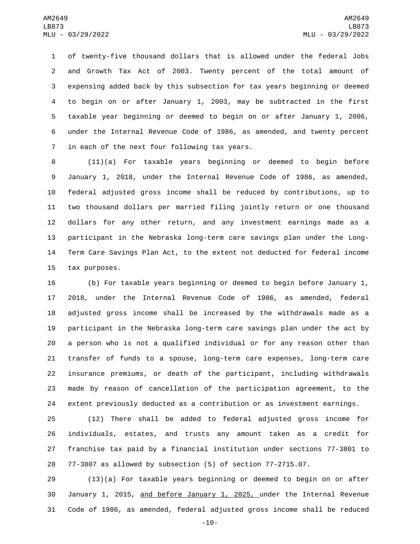of twenty-five thousand dollars that is allowed under the federal Jobs and Growth Tax Act of 2003. Twenty percent of the total amount of expensing added back by this subsection for tax years beginning or deemed to begin on or after January 1, 2003, may be subtracted in the first taxable year beginning or deemed to begin on or after January 1, 2006, under the Internal Revenue Code of 1986, as amended, and twenty percent 7 in each of the next four following tax years.

 (11)(a) For taxable years beginning or deemed to begin before January 1, 2018, under the Internal Revenue Code of 1986, as amended, federal adjusted gross income shall be reduced by contributions, up to two thousand dollars per married filing jointly return or one thousand dollars for any other return, and any investment earnings made as a participant in the Nebraska long-term care savings plan under the Long- Term Care Savings Plan Act, to the extent not deducted for federal income 15 tax purposes.

 (b) For taxable years beginning or deemed to begin before January 1, 2018, under the Internal Revenue Code of 1986, as amended, federal adjusted gross income shall be increased by the withdrawals made as a participant in the Nebraska long-term care savings plan under the act by a person who is not a qualified individual or for any reason other than transfer of funds to a spouse, long-term care expenses, long-term care insurance premiums, or death of the participant, including withdrawals made by reason of cancellation of the participation agreement, to the extent previously deducted as a contribution or as investment earnings.

 (12) There shall be added to federal adjusted gross income for individuals, estates, and trusts any amount taken as a credit for franchise tax paid by a financial institution under sections 77-3801 to 77-3807 as allowed by subsection (5) of section 77-2715.07.

 (13)(a) For taxable years beginning or deemed to begin on or after January 1, 2015, and before January 1, 2025, under the Internal Revenue Code of 1986, as amended, federal adjusted gross income shall be reduced

-10-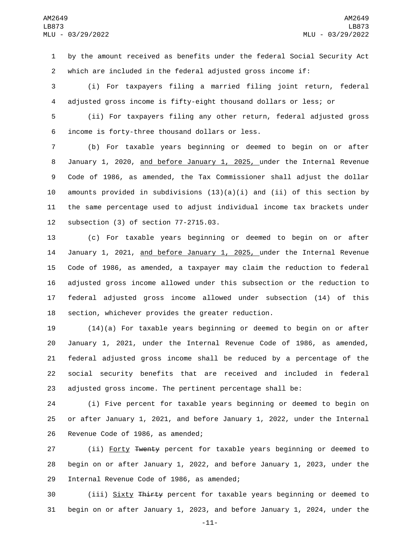by the amount received as benefits under the federal Social Security Act which are included in the federal adjusted gross income if:

 (i) For taxpayers filing a married filing joint return, federal adjusted gross income is fifty-eight thousand dollars or less; or

 (ii) For taxpayers filing any other return, federal adjusted gross income is forty-three thousand dollars or less.6

 (b) For taxable years beginning or deemed to begin on or after January 1, 2020, and before January 1, 2025, under the Internal Revenue Code of 1986, as amended, the Tax Commissioner shall adjust the dollar 10 amounts provided in subdivisions  $(13)(a)(i)$  and  $(ii)$  of this section by the same percentage used to adjust individual income tax brackets under 12 subsection (3) of section 77-2715.03.

 (c) For taxable years beginning or deemed to begin on or after 14 January 1, 2021, and before January 1, 2025, under the Internal Revenue Code of 1986, as amended, a taxpayer may claim the reduction to federal adjusted gross income allowed under this subsection or the reduction to federal adjusted gross income allowed under subsection (14) of this section, whichever provides the greater reduction.

 (14)(a) For taxable years beginning or deemed to begin on or after January 1, 2021, under the Internal Revenue Code of 1986, as amended, federal adjusted gross income shall be reduced by a percentage of the social security benefits that are received and included in federal adjusted gross income. The pertinent percentage shall be:

 (i) Five percent for taxable years beginning or deemed to begin on or after January 1, 2021, and before January 1, 2022, under the Internal 26 Revenue Code of 1986, as amended;

27 (ii) Forty Twenty percent for taxable years beginning or deemed to begin on or after January 1, 2022, and before January 1, 2023, under the 29 Internal Revenue Code of 1986, as amended;

 (iii) Sixty Thirty percent for taxable years beginning or deemed to begin on or after January 1, 2023, and before January 1, 2024, under the

-11-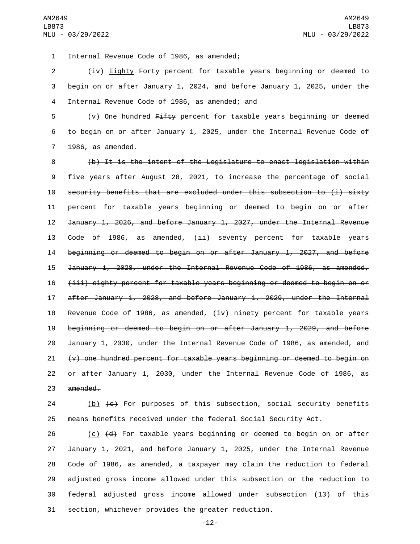Internal Revenue Code of 1986, as amended;1

 (iv) Eighty Forty percent for taxable years beginning or deemed to begin on or after January 1, 2024, and before January 1, 2025, under the Internal Revenue Code of 1986, as amended; and4

5 (v) One hundred Fifty percent for taxable years beginning or deemed to begin on or after January 1, 2025, under the Internal Revenue Code of 7 1986, as amended.

 (b) It is the intent of the Legislature to enact legislation within five years after August 28, 2021, to increase the percentage of social security benefits that are excluded under this subsection to (i) sixty percent for taxable years beginning or deemed to begin on or after January 1, 2026, and before January 1, 2027, under the Internal Revenue Code of 1986, as amended, (ii) seventy percent for taxable years beginning or deemed to begin on or after January 1, 2027, and before January 1, 2028, under the Internal Revenue Code of 1986, as amended, (iii) eighty percent for taxable years beginning or deemed to begin on or after January 1, 2028, and before January 1, 2029, under the Internal Revenue Code of 1986, as amended, (iv) ninety percent for taxable years beginning or deemed to begin on or after January 1, 2029, and before January 1, 2030, under the Internal Revenue Code of 1986, as amended, and  $(v)$  one hundred percent for taxable years beginning or deemed to begin on or after January 1, 2030, under the Internal Revenue Code of 1986, as 23 amended.

24  $(b)$   $(c)$  For purposes of this subsection, social security benefits means benefits received under the federal Social Security Act.

 $\left( c \right)$   $\left( d \right)$  For taxable years beginning or deemed to begin on or after January 1, 2021, and before January 1, 2025, under the Internal Revenue Code of 1986, as amended, a taxpayer may claim the reduction to federal adjusted gross income allowed under this subsection or the reduction to federal adjusted gross income allowed under subsection (13) of this section, whichever provides the greater reduction.

-12-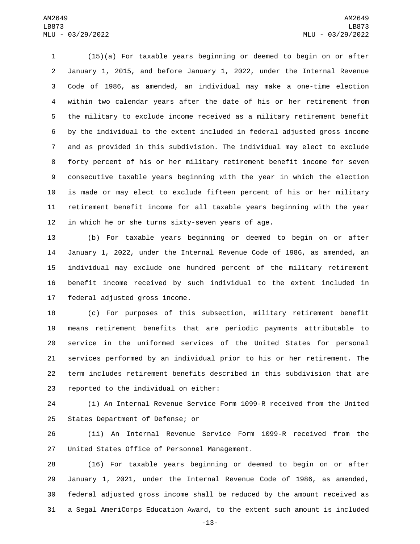(15)(a) For taxable years beginning or deemed to begin on or after January 1, 2015, and before January 1, 2022, under the Internal Revenue Code of 1986, as amended, an individual may make a one-time election within two calendar years after the date of his or her retirement from the military to exclude income received as a military retirement benefit by the individual to the extent included in federal adjusted gross income and as provided in this subdivision. The individual may elect to exclude forty percent of his or her military retirement benefit income for seven consecutive taxable years beginning with the year in which the election is made or may elect to exclude fifteen percent of his or her military retirement benefit income for all taxable years beginning with the year in which he or she turns sixty-seven years of age.

 (b) For taxable years beginning or deemed to begin on or after January 1, 2022, under the Internal Revenue Code of 1986, as amended, an individual may exclude one hundred percent of the military retirement benefit income received by such individual to the extent included in 17 federal adjusted gross income.

 (c) For purposes of this subsection, military retirement benefit means retirement benefits that are periodic payments attributable to service in the uniformed services of the United States for personal services performed by an individual prior to his or her retirement. The term includes retirement benefits described in this subdivision that are 23 reported to the individual on either:

 (i) An Internal Revenue Service Form 1099-R received from the United 25 States Department of Defense; or

 (ii) An Internal Revenue Service Form 1099-R received from the 27 United States Office of Personnel Management.

 (16) For taxable years beginning or deemed to begin on or after January 1, 2021, under the Internal Revenue Code of 1986, as amended, federal adjusted gross income shall be reduced by the amount received as a Segal AmeriCorps Education Award, to the extent such amount is included

-13-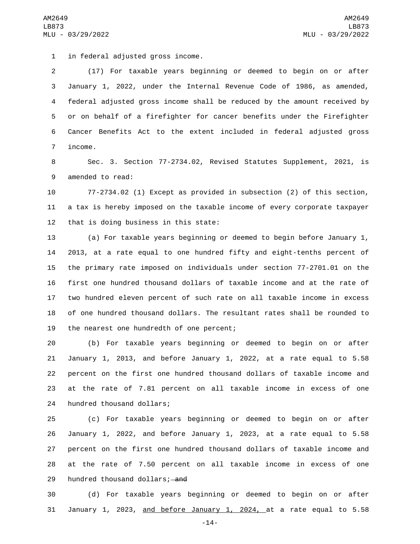1 in federal adjusted gross income.

 (17) For taxable years beginning or deemed to begin on or after January 1, 2022, under the Internal Revenue Code of 1986, as amended, federal adjusted gross income shall be reduced by the amount received by or on behalf of a firefighter for cancer benefits under the Firefighter Cancer Benefits Act to the extent included in federal adjusted gross 7 income.

 Sec. 3. Section 77-2734.02, Revised Statutes Supplement, 2021, is 9 amended to read:

 77-2734.02 (1) Except as provided in subsection (2) of this section, a tax is hereby imposed on the taxable income of every corporate taxpayer that is doing business in this state:

 (a) For taxable years beginning or deemed to begin before January 1, 2013, at a rate equal to one hundred fifty and eight-tenths percent of the primary rate imposed on individuals under section 77-2701.01 on the first one hundred thousand dollars of taxable income and at the rate of two hundred eleven percent of such rate on all taxable income in excess of one hundred thousand dollars. The resultant rates shall be rounded to 19 the nearest one hundredth of one percent;

 (b) For taxable years beginning or deemed to begin on or after January 1, 2013, and before January 1, 2022, at a rate equal to 5.58 percent on the first one hundred thousand dollars of taxable income and at the rate of 7.81 percent on all taxable income in excess of one 24 hundred thousand dollars;

 (c) For taxable years beginning or deemed to begin on or after January 1, 2022, and before January 1, 2023, at a rate equal to 5.58 percent on the first one hundred thousand dollars of taxable income and at the rate of 7.50 percent on all taxable income in excess of one 29 hundred thousand dollars; and

 (d) For taxable years beginning or deemed to begin on or after 31 January 1, 2023, and before January 1, 2024, at a rate equal to 5.58

-14-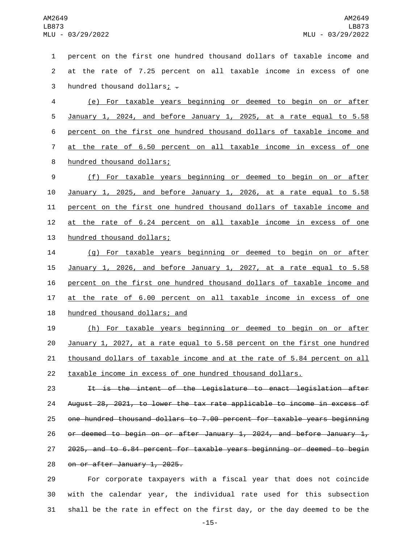| $\mathbf{1}$   | percent on the first one hundred thousand dollars of taxable income and |
|----------------|-------------------------------------------------------------------------|
| $\overline{2}$ | at the rate of 7.25 percent on all taxable income in excess of one      |
| 3              | hundred thousand dollars; $\div$                                        |
| $\overline{4}$ | (e) For taxable years beginning or deemed to begin on or after          |
| 5              | January 1, 2024, and before January 1, 2025, at a rate equal to 5.58    |
| 6              | percent on the first one hundred thousand dollars of taxable income and |
| $\overline{7}$ | at the rate of 6.50 percent on all taxable income in excess of one      |
| 8              | hundred thousand dollars;                                               |
| 9              | (f) For taxable years beginning or deemed to begin on or after          |
| 10             | January 1, 2025, and before January 1, 2026, at a rate equal to 5.58    |
| 11             | percent on the first one hundred thousand dollars of taxable income and |
| 12             | at the rate of 6.24 percent on all taxable income in excess of one      |
| 13             | hundred thousand dollars;                                               |
| 14             | (g) For taxable years beginning or deemed to begin on or after          |
| 15             | January 1, 2026, and before January 1, 2027, at a rate equal to 5.58    |
| 16             | percent on the first one hundred thousand dollars of taxable income and |
| 17             | at the rate of 6.00 percent on all taxable income in excess of one      |
| 18             | hundred thousand dollars; and                                           |
| 19             | (h) Eor taxable vears beginning or deemed to begin on or after          |

 (h) For taxable years beginning or deemed to begin on or after January 1, 2027, at a rate equal to 5.58 percent on the first one hundred 21 thousand dollars of taxable income and at the rate of 5.84 percent on all taxable income in excess of one hundred thousand dollars.

 It is the intent of the Legislature to enact legislation after August 28, 2021, to lower the tax rate applicable to income in excess of one hundred thousand dollars to 7.00 percent for taxable years beginning 26 or deemed to begin on or after January 1, 2024, and before January  $1<sub>r</sub>$  2025, and to 6.84 percent for taxable years beginning or deemed to begin 28 on or after January 1, 2025.

 For corporate taxpayers with a fiscal year that does not coincide with the calendar year, the individual rate used for this subsection shall be the rate in effect on the first day, or the day deemed to be the

-15-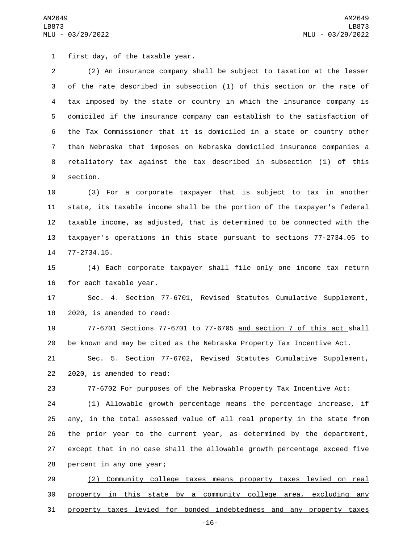1 first day, of the taxable year.

 (2) An insurance company shall be subject to taxation at the lesser of the rate described in subsection (1) of this section or the rate of tax imposed by the state or country in which the insurance company is domiciled if the insurance company can establish to the satisfaction of the Tax Commissioner that it is domiciled in a state or country other than Nebraska that imposes on Nebraska domiciled insurance companies a retaliatory tax against the tax described in subsection (1) of this 9 section.

 (3) For a corporate taxpayer that is subject to tax in another state, its taxable income shall be the portion of the taxpayer's federal taxable income, as adjusted, that is determined to be connected with the taxpayer's operations in this state pursuant to sections 77-2734.05 to 14 77-2734.15.

 (4) Each corporate taxpayer shall file only one income tax return 16 for each taxable year.

 Sec. 4. Section 77-6701, Revised Statutes Cumulative Supplement, 18 2020, is amended to read:

 77-6701 Sections 77-6701 to 77-6705 and section 7 of this act shall be known and may be cited as the Nebraska Property Tax Incentive Act.

 Sec. 5. Section 77-6702, Revised Statutes Cumulative Supplement, 22 2020, is amended to read:

77-6702 For purposes of the Nebraska Property Tax Incentive Act:

 (1) Allowable growth percentage means the percentage increase, if any, in the total assessed value of all real property in the state from the prior year to the current year, as determined by the department, except that in no case shall the allowable growth percentage exceed five 28 percent in any one year;

 (2) Community college taxes means property taxes levied on real property in this state by a community college area, excluding any property taxes levied for bonded indebtedness and any property taxes

-16-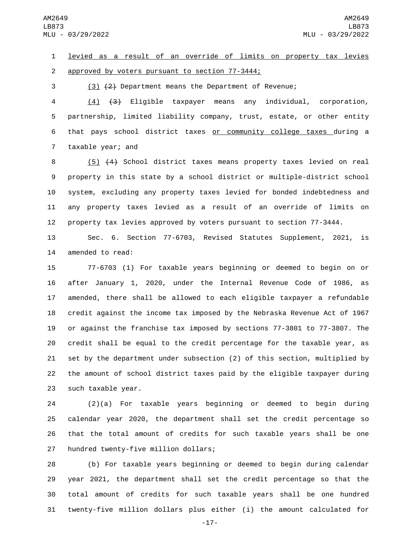levied as a result of an override of limits on property tax levies 2 approved by voters pursuant to section 77-3444;

(3) (2) Department means the Department of Revenue;

 (4) (3) Eligible taxpayer means any individual, corporation, partnership, limited liability company, trust, estate, or other entity that pays school district taxes or community college taxes during a 7 taxable year; and

 (5) (4) School district taxes means property taxes levied on real property in this state by a school district or multiple-district school system, excluding any property taxes levied for bonded indebtedness and any property taxes levied as a result of an override of limits on property tax levies approved by voters pursuant to section 77-3444.

 Sec. 6. Section 77-6703, Revised Statutes Supplement, 2021, is 14 amended to read:

 77-6703 (1) For taxable years beginning or deemed to begin on or after January 1, 2020, under the Internal Revenue Code of 1986, as amended, there shall be allowed to each eligible taxpayer a refundable credit against the income tax imposed by the Nebraska Revenue Act of 1967 or against the franchise tax imposed by sections 77-3801 to 77-3807. The credit shall be equal to the credit percentage for the taxable year, as set by the department under subsection (2) of this section, multiplied by the amount of school district taxes paid by the eligible taxpayer during 23 such taxable year.

 (2)(a) For taxable years beginning or deemed to begin during calendar year 2020, the department shall set the credit percentage so that the total amount of credits for such taxable years shall be one 27 hundred twenty-five million dollars;

 (b) For taxable years beginning or deemed to begin during calendar year 2021, the department shall set the credit percentage so that the total amount of credits for such taxable years shall be one hundred twenty-five million dollars plus either (i) the amount calculated for

-17-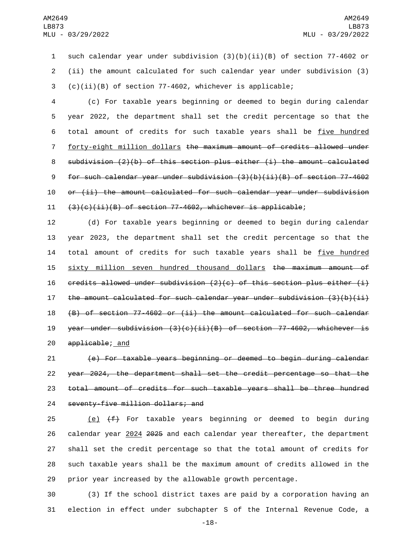1 such calendar year under subdivision (3)(b)(ii)(B) of section 77-4602 or 2 (ii) the amount calculated for such calendar year under subdivision (3) 3 (c)(ii)(B) of section 77-4602, whichever is applicable;

 (c) For taxable years beginning or deemed to begin during calendar year 2022, the department shall set the credit percentage so that the 6 total amount of credits for such taxable years shall be five hundred forty-eight million dollars the maximum amount of credits allowed under subdivision (2)(b) of this section plus either (i) the amount calculated for such calendar year under subdivision (3)(b)(ii)(B) of section 77-4602 or (ii) the amount calculated for such calendar year under subdivision  $(3)(c)(ii)(B)$  of section 77-4602, whichever is applicable;

12 (d) For taxable years beginning or deemed to begin during calendar 13 year 2023, the department shall set the credit percentage so that the 14 total amount of credits for such taxable years shall be five hundred 15 sixty million seven hundred thousand dollars the maximum amount of 16  $c$  credits allowed under subdivision (2)(c) of this section plus either (i) 17 the amount calculated for such calendar year under subdivision  $(3)(b)(ii)$ 18 (B) of section 77-4602 or (ii) the amount calculated for such calendar 19 year under subdivision  $(3)(c)(ii)(B)$  of section 77-4602, whichever is 20 applicable; and

 (e) For taxable years beginning or deemed to begin during calendar year 2024, the department shall set the credit percentage so that the total amount of credits for such taxable years shall be three hundred 24 seventy-five million dollars; and

25 (e)  $(f)$  For taxable years beginning or deemed to begin during calendar year 2024 2025 and each calendar year thereafter, the department shall set the credit percentage so that the total amount of credits for such taxable years shall be the maximum amount of credits allowed in the prior year increased by the allowable growth percentage.

30 (3) If the school district taxes are paid by a corporation having an 31 election in effect under subchapter S of the Internal Revenue Code, a

-18-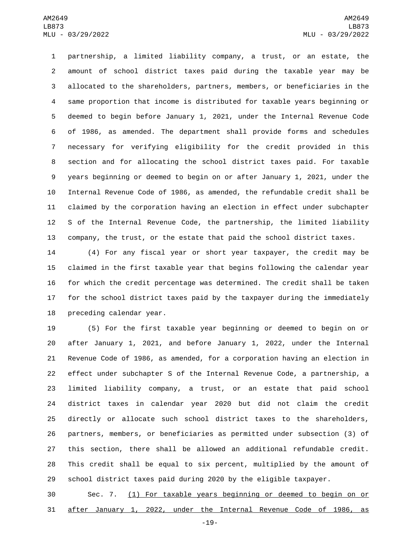partnership, a limited liability company, a trust, or an estate, the amount of school district taxes paid during the taxable year may be allocated to the shareholders, partners, members, or beneficiaries in the same proportion that income is distributed for taxable years beginning or deemed to begin before January 1, 2021, under the Internal Revenue Code of 1986, as amended. The department shall provide forms and schedules necessary for verifying eligibility for the credit provided in this section and for allocating the school district taxes paid. For taxable years beginning or deemed to begin on or after January 1, 2021, under the Internal Revenue Code of 1986, as amended, the refundable credit shall be claimed by the corporation having an election in effect under subchapter S of the Internal Revenue Code, the partnership, the limited liability company, the trust, or the estate that paid the school district taxes.

 (4) For any fiscal year or short year taxpayer, the credit may be claimed in the first taxable year that begins following the calendar year for which the credit percentage was determined. The credit shall be taken for the school district taxes paid by the taxpayer during the immediately 18 preceding calendar year.

 (5) For the first taxable year beginning or deemed to begin on or after January 1, 2021, and before January 1, 2022, under the Internal Revenue Code of 1986, as amended, for a corporation having an election in effect under subchapter S of the Internal Revenue Code, a partnership, a limited liability company, a trust, or an estate that paid school district taxes in calendar year 2020 but did not claim the credit directly or allocate such school district taxes to the shareholders, partners, members, or beneficiaries as permitted under subsection (3) of this section, there shall be allowed an additional refundable credit. This credit shall be equal to six percent, multiplied by the amount of school district taxes paid during 2020 by the eligible taxpayer.

 Sec. 7. (1) For taxable years beginning or deemed to begin on or after January 1, 2022, under the Internal Revenue Code of 1986, as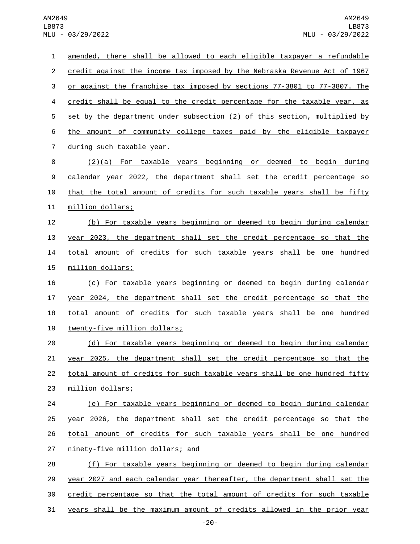| 1              | amended, there shall be allowed to each eligible taxpayer a refundable    |
|----------------|---------------------------------------------------------------------------|
| $\overline{c}$ | credit against the income tax imposed by the Nebraska Revenue Act of 1967 |
| 3              | or against the franchise tax imposed by sections 77-3801 to 77-3807. The  |
| 4              | credit shall be equal to the credit percentage for the taxable year, as   |
| 5              | set by the department under subsection (2) of this section, multiplied by |
| 6              | the amount of community college taxes paid by the eligible taxpayer       |
| $\overline{7}$ | during such taxable year.                                                 |
| 8              | $(2)(a)$ For taxable years beginning or deemed to begin during            |
| 9              | calendar year 2022, the department shall set the credit percentage so     |
| 10             | that the total amount of credits for such taxable years shall be fifty    |
| 11             | million dollars;                                                          |
| 12             | (b) For taxable years beginning or deemed to begin during calendar        |
| 13             | year 2023, the department shall set the credit percentage so that the     |
| 14             | total amount of credits for such taxable years shall be one hundred       |
| 15             | million dollars;                                                          |
| 16             | (c) For taxable years beginning or deemed to begin during calendar        |
| 17             | year 2024, the department shall set the credit percentage so that the     |
| 18             | total amount of credits for such taxable years shall be one hundred       |
| 19             | twenty-five million dollars;                                              |
| 20             | (d) For taxable years beginning or deemed to begin during calendar        |
| 21             | year 2025, the department shall set the credit percentage so that the     |
| 22             | total amount of credits for such taxable years shall be one hundred fifty |
| 23             | million dollars;                                                          |
| 24             | (e) For taxable years beginning or deemed to begin during calendar        |
| 25             | year 2026, the department shall set the credit percentage so that the     |
| 26             | total amount of credits for such taxable years shall be one hundred       |
| 27             | ninety-five million dollars; and                                          |
| 28             | (f) For taxable years beginning or deemed to begin during calendar        |
| 29             | year 2027 and each calendar year thereafter, the department shall set the |
| 30             | credit percentage so that the total amount of credits for such taxable    |
| 31             | years shall be the maximum amount of credits allowed in the prior year    |